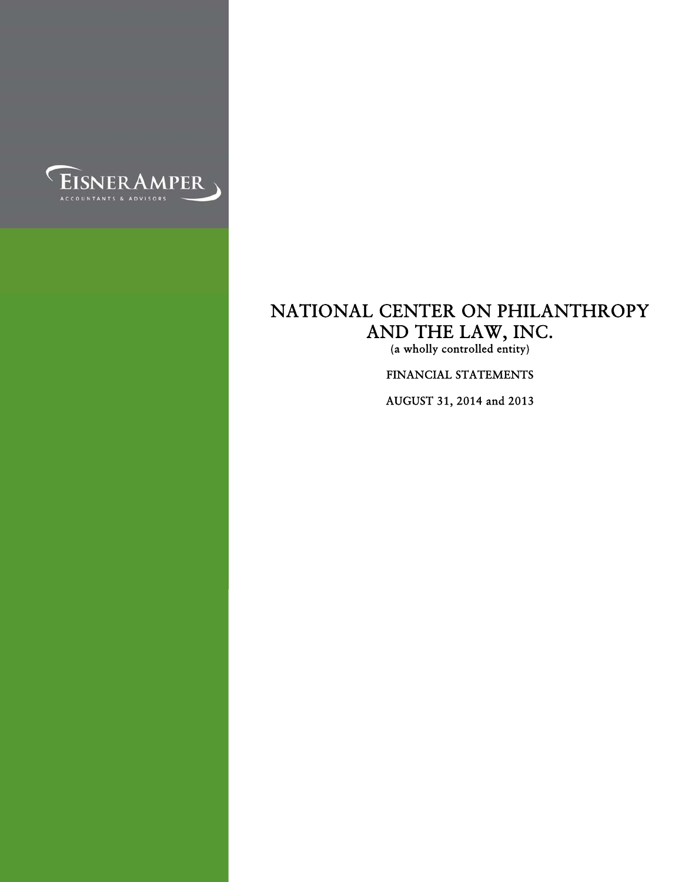

(a wholly controlled entity)

FINANCIAL STATEMENTS

AUGUST 31, 2014 and 2013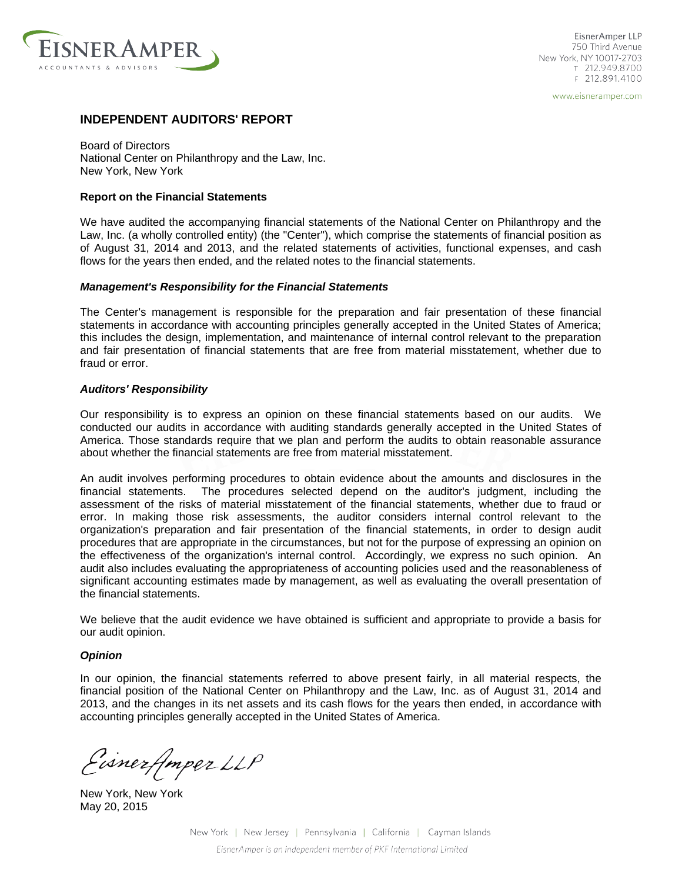

EisnerAmper LLP 750 Third Avenue New York, NY 10017-2703 T 212.949.8700 F 212.891.4100

www.eisneramper.com

## **INDEPENDENT AUDITORS' REPORT**

Board of Directors National Center on Philanthropy and the Law, Inc. New York, New York

#### **Report on the Financial Statements**

We have audited the accompanying financial statements of the National Center on Philanthropy and the Law, Inc. (a wholly controlled entity) (the "Center"), which comprise the statements of financial position as of August 31, 2014 and 2013, and the related statements of activities, functional expenses, and cash flows for the years then ended, and the related notes to the financial statements.

#### *Management's Responsibility for the Financial Statements*

The Center's management is responsible for the preparation and fair presentation of these financial statements in accordance with accounting principles generally accepted in the United States of America; this includes the design, implementation, and maintenance of internal control relevant to the preparation and fair presentation of financial statements that are free from material misstatement, whether due to fraud or error.

#### *Auditors' Responsibility*

Our responsibility is to express an opinion on these financial statements based on our audits. We conducted our audits in accordance with auditing standards generally accepted in the United States of America. Those standards require that we plan and perform the audits to obtain reasonable assurance about whether the financial statements are free from material misstatement.

An audit involves performing procedures to obtain evidence about the amounts and disclosures in the financial statements. The procedures selected depend on the auditor's judgment, including the assessment of the risks of material misstatement of the financial statements, whether due to fraud or error. In making those risk assessments, the auditor considers internal control relevant to the organization's preparation and fair presentation of the financial statements, in order to design audit procedures that are appropriate in the circumstances, but not for the purpose of expressing an opinion on the effectiveness of the organization's internal control. Accordingly, we express no such opinion. An audit also includes evaluating the appropriateness of accounting policies used and the reasonableness of significant accounting estimates made by management, as well as evaluating the overall presentation of the financial statements.

We believe that the audit evidence we have obtained is sufficient and appropriate to provide a basis for our audit opinion.

#### *Opinion*

In our opinion, the financial statements referred to above present fairly, in all material respects, the financial position of the National Center on Philanthropy and the Law, Inc. as of August 31, 2014 and 2013, and the changes in its net assets and its cash flows for the years then ended, in accordance with accounting principles generally accepted in the United States of America.

Eisnerfmper LLP

New York, New York May 20, 2015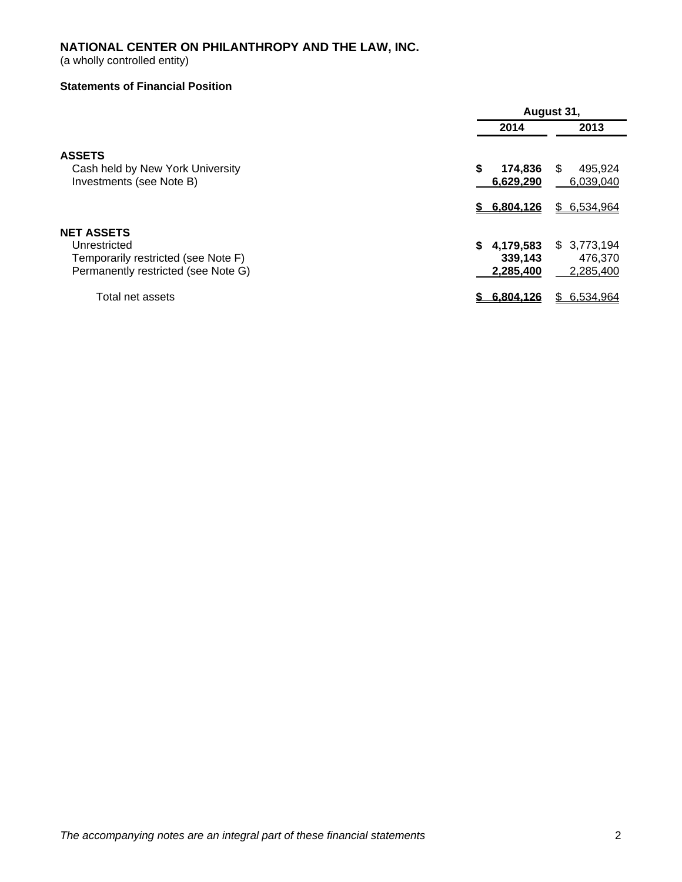(a wholly controlled entity)

## **Statements of Financial Position**

|                                     | August 31,      |                 |  |
|-------------------------------------|-----------------|-----------------|--|
|                                     | 2014            | 2013            |  |
| <b>ASSETS</b>                       |                 |                 |  |
| Cash held by New York University    | \$<br>174,836   | S<br>495.924    |  |
| Investments (see Note B)            | 6,629,290       | 6,039,040       |  |
|                                     | \$6.804.126     | \$ 6,534,964    |  |
| <b>NET ASSETS</b>                   |                 |                 |  |
| Unrestricted                        | 4,179,583<br>S. | \$3,773,194     |  |
| Temporarily restricted (see Note F) | 339,143         | 476,370         |  |
| Permanently restricted (see Note G) | 2,285,400       | 2,285,400       |  |
| Total net assets                    | 6.804.126       | 6,534,964<br>S. |  |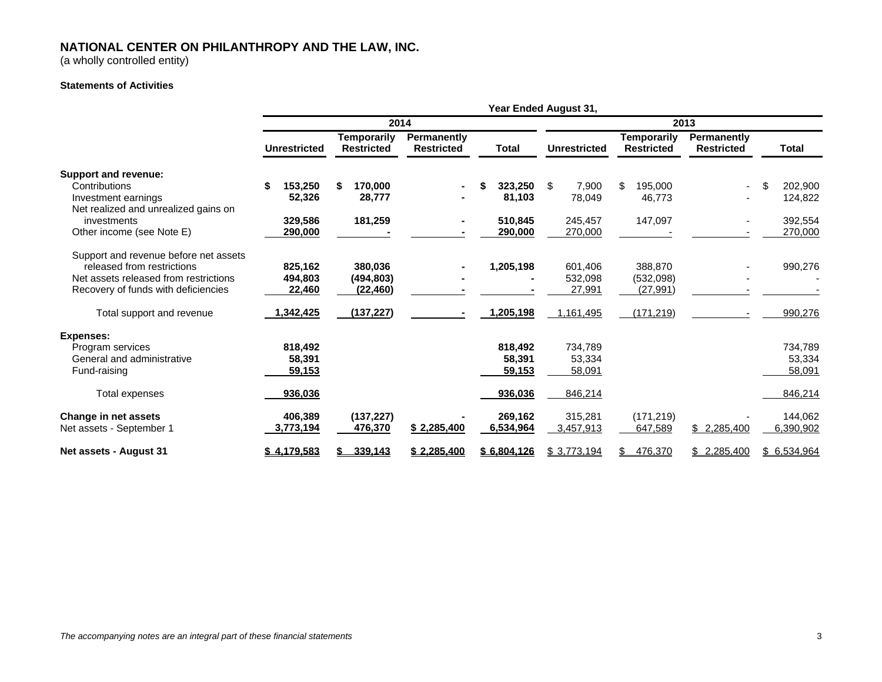(a wholly controlled entity)

#### **Statements of Activities**

|                                       | Year Ended August 31, |                                         |                                  |               |                     |                                         |                                  |               |
|---------------------------------------|-----------------------|-----------------------------------------|----------------------------------|---------------|---------------------|-----------------------------------------|----------------------------------|---------------|
|                                       | 2014                  |                                         |                                  |               | 2013                |                                         |                                  |               |
|                                       | <b>Unrestricted</b>   | <b>Temporarily</b><br><b>Restricted</b> | Permanently<br><b>Restricted</b> | <b>Total</b>  | <b>Unrestricted</b> | <b>Temporarily</b><br><b>Restricted</b> | Permanently<br><b>Restricted</b> | <b>Total</b>  |
| Support and revenue:                  |                       |                                         |                                  |               |                     |                                         |                                  |               |
| Contributions                         | 153,250<br>\$         | 170,000<br>\$                           |                                  | 323,250<br>\$ | 7,900<br>\$         | 195,000<br>\$                           | $\overline{\phantom{a}}$         | \$<br>202,900 |
| Investment earnings                   | 52,326                | 28,777                                  |                                  | 81,103        | 78,049              | 46,773                                  |                                  | 124,822       |
| Net realized and unrealized gains on  |                       |                                         |                                  |               |                     |                                         |                                  |               |
| investments                           | 329,586               | 181,259                                 |                                  | 510,845       | 245,457             | 147,097                                 | ٠                                | 392,554       |
| Other income (see Note E)             | 290,000               |                                         |                                  | 290,000       | 270,000             |                                         |                                  | 270,000       |
| Support and revenue before net assets |                       |                                         |                                  |               |                     |                                         |                                  |               |
| released from restrictions            | 825,162               | 380,036                                 |                                  | 1,205,198     | 601,406             | 388,870                                 |                                  | 990,276       |
| Net assets released from restrictions | 494,803               | (494, 803)                              |                                  |               | 532,098             | (532,098)                               |                                  |               |
| Recovery of funds with deficiencies   | 22,460                | (22, 460)                               |                                  |               | 27,991              | (27, 991)                               |                                  |               |
| Total support and revenue             | 1,342,425             | (137, 227)                              |                                  | 1,205,198     | 1,161,495           | (171, 219)                              |                                  | 990,276       |
| <b>Expenses:</b>                      |                       |                                         |                                  |               |                     |                                         |                                  |               |
| Program services                      | 818,492               |                                         |                                  | 818,492       | 734,789             |                                         |                                  | 734,789       |
| General and administrative            | 58,391                |                                         |                                  | 58,391        | 53,334              |                                         |                                  | 53,334        |
| Fund-raising                          | 59,153                |                                         |                                  | 59,153        | 58,091              |                                         |                                  | 58,091        |
| Total expenses                        | 936,036               |                                         |                                  | 936,036       | 846,214             |                                         |                                  | 846,214       |
| Change in net assets                  | 406,389               | (137, 227)                              |                                  | 269,162       | 315,281             | (171, 219)                              |                                  | 144,062       |
| Net assets - September 1              | 3,773,194             | 476,370                                 | \$2,285,400                      | 6,534,964     | 3,457,913           | 647,589                                 | \$2,285,400                      | 6,390,902     |
| Net assets - August 31                | \$4,179,583           | 339,143                                 | \$2,285,400                      | \$6.804.126   | \$3,773,194         | 476,370<br>S.                           | \$2,285,400                      | \$6,534,964   |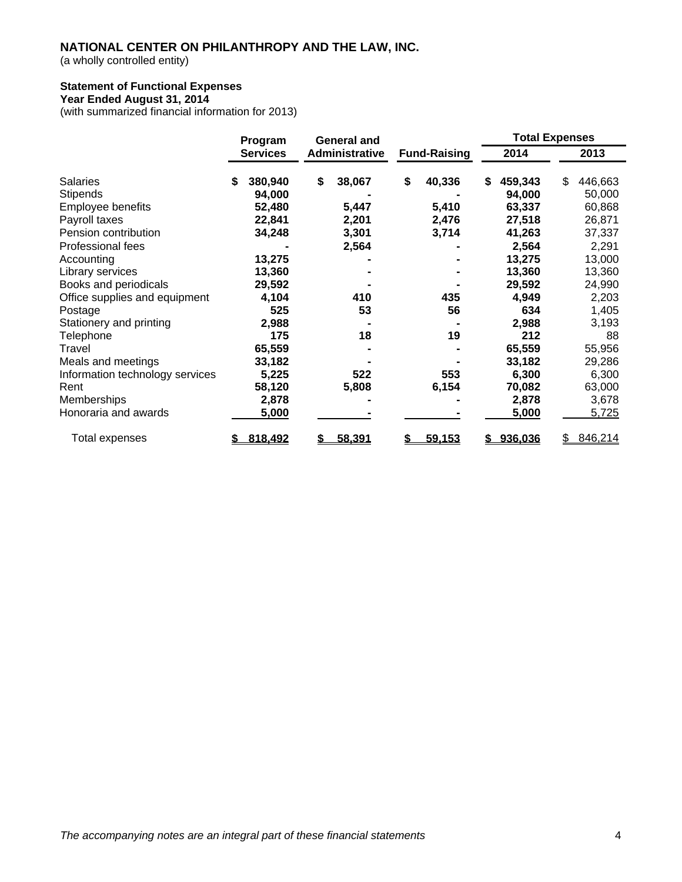(a wholly controlled entity)

## **Statement of Functional Expenses**

## **Year Ended August 31, 2014**

(with summarized financial information for 2013)

|                                 | Program         | <b>General and</b> |                |                     |    | <b>Total Expenses</b> |    |         |
|---------------------------------|-----------------|--------------------|----------------|---------------------|----|-----------------------|----|---------|
|                                 | <b>Services</b> |                    | Administrative | <b>Fund-Raising</b> |    | 2014                  |    | 2013    |
| <b>Salaries</b>                 | \$<br>380,940   | \$                 | 38,067         | \$<br>40,336        | \$ | 459,343               | \$ | 446,663 |
| Stipends                        | 94,000          |                    |                |                     |    | 94,000                |    | 50,000  |
| Employee benefits               | 52,480          |                    | 5,447          | 5,410               |    | 63,337                |    | 60,868  |
| Payroll taxes                   | 22,841          |                    | 2,201          | 2,476               |    | 27,518                |    | 26,871  |
| Pension contribution            | 34,248          |                    | 3,301          | 3,714               |    | 41,263                |    | 37,337  |
| Professional fees               |                 |                    | 2,564          |                     |    | 2,564                 |    | 2,291   |
| Accounting                      | 13,275          |                    |                |                     |    | 13,275                |    | 13,000  |
| Library services                | 13,360          |                    |                |                     |    | 13,360                |    | 13,360  |
| Books and periodicals           | 29,592          |                    |                |                     |    | 29,592                |    | 24,990  |
| Office supplies and equipment   | 4,104           |                    | 410            | 435                 |    | 4,949                 |    | 2,203   |
| Postage                         | 525             |                    | 53             | 56                  |    | 634                   |    | 1,405   |
| Stationery and printing         | 2,988           |                    |                |                     |    | 2,988                 |    | 3,193   |
| Telephone                       | 175             |                    | 18             | 19                  |    | 212                   |    | 88      |
| Travel                          | 65,559          |                    |                |                     |    | 65,559                |    | 55,956  |
| Meals and meetings              | 33,182          |                    |                |                     |    | 33,182                |    | 29,286  |
| Information technology services | 5,225           |                    | 522            | 553                 |    | 6,300                 |    | 6,300   |
| Rent                            | 58,120          |                    | 5,808          | 6,154               |    | 70,082                |    | 63,000  |
| Memberships                     | 2,878           |                    |                |                     |    | 2,878                 |    | 3,678   |
| Honoraria and awards            | 5,000           |                    |                |                     |    | 5,000                 |    | 5,725   |
| Total expenses                  | 818,492         |                    | 58,391         | 59,153              |    | \$936,036             |    | 846,214 |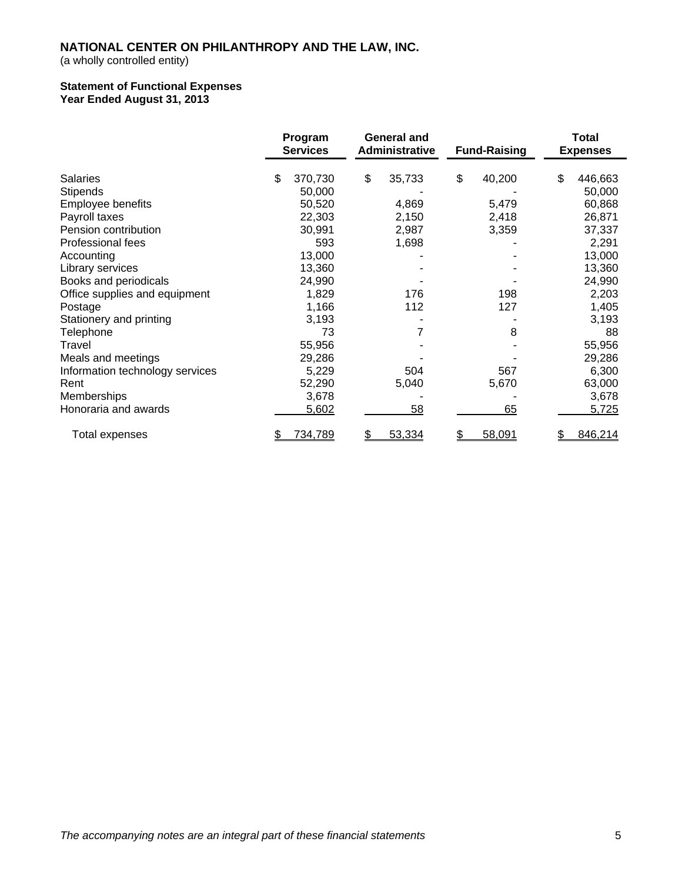(a wholly controlled entity)

#### **Statement of Functional Expenses Year Ended August 31, 2013**

|                                 | Program<br><b>Services</b> | <b>General and</b><br>Administrative | <b>Fund-Raising</b> | Total<br><b>Expenses</b> |
|---------------------------------|----------------------------|--------------------------------------|---------------------|--------------------------|
| <b>Salaries</b>                 | \$<br>370,730              | \$<br>35,733                         | \$<br>40,200        | \$<br>446,663            |
| <b>Stipends</b>                 | 50,000                     |                                      |                     | 50,000                   |
| Employee benefits               | 50,520                     | 4,869                                | 5,479               | 60,868                   |
| Payroll taxes                   | 22,303                     | 2,150                                | 2,418               | 26,871                   |
| Pension contribution            | 30,991                     | 2,987                                | 3,359               | 37,337                   |
| Professional fees               | 593                        | 1,698                                |                     | 2,291                    |
| Accounting                      | 13,000                     |                                      |                     | 13,000                   |
| Library services                | 13,360                     |                                      |                     | 13,360                   |
| Books and periodicals           | 24,990                     |                                      |                     | 24,990                   |
| Office supplies and equipment   | 1,829                      | 176                                  | 198                 | 2,203                    |
| Postage                         | 1,166                      | 112                                  | 127                 | 1,405                    |
| Stationery and printing         | 3,193                      |                                      |                     | 3,193                    |
| Telephone                       | 73                         |                                      | 8                   | 88                       |
| Travel                          | 55,956                     |                                      |                     | 55,956                   |
| Meals and meetings              | 29,286                     |                                      |                     | 29,286                   |
| Information technology services | 5,229                      | 504                                  | 567                 | 6,300                    |
| Rent                            | 52,290                     | 5,040                                | 5,670               | 63,000                   |
| Memberships                     | 3,678                      |                                      |                     | 3,678                    |
| Honoraria and awards            | 5,602                      | 58                                   | 65                  | 5,725                    |
| Total expenses                  | 734,789<br>\$              | \$<br>53,334                         | 58,091<br>\$        | 846,214                  |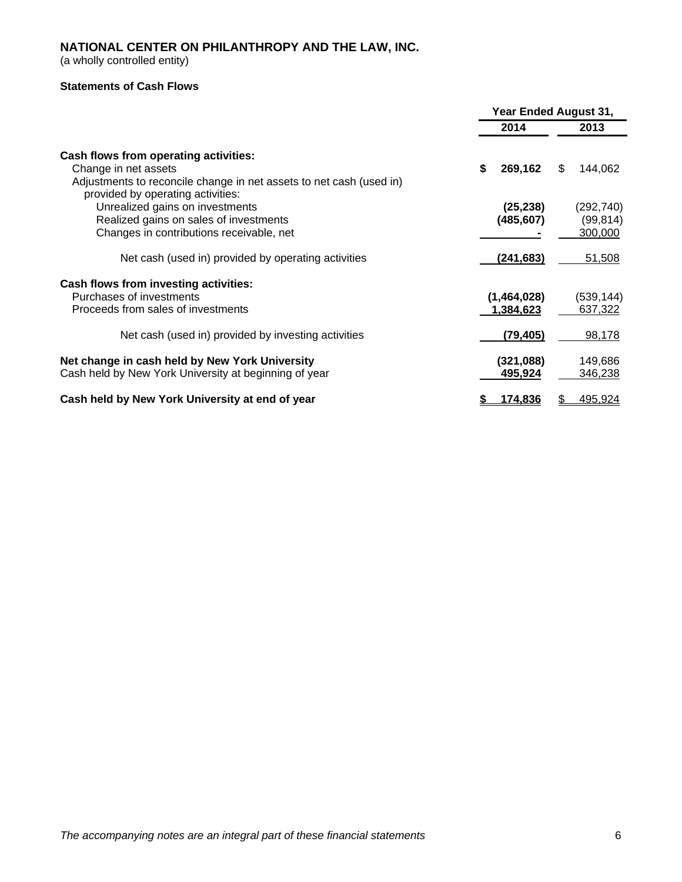(a wholly controlled entity)

## **Statements of Cash Flows**

|                                                                                                                                                                           | Year Ended August 31,    |                                    |  |  |
|---------------------------------------------------------------------------------------------------------------------------------------------------------------------------|--------------------------|------------------------------------|--|--|
|                                                                                                                                                                           | 2014                     | 2013                               |  |  |
| Cash flows from operating activities:<br>Change in net assets<br>Adjustments to reconcile change in net assets to net cash (used in)<br>provided by operating activities: | \$<br>269,162            | \$<br>144,062                      |  |  |
| Unrealized gains on investments<br>Realized gains on sales of investments<br>Changes in contributions receivable, net                                                     | (25, 238)<br>(485, 607)  | (292, 740)<br>(99, 814)<br>300,000 |  |  |
| Net cash (used in) provided by operating activities                                                                                                                       | (241, 683)               | 51,508                             |  |  |
| Cash flows from investing activities:<br>Purchases of investments<br>Proceeds from sales of investments                                                                   | (1,464,028)<br>1,384,623 | (539, 144)<br>637,322              |  |  |
| Net cash (used in) provided by investing activities                                                                                                                       | (79, 405)                | 98,178                             |  |  |
| Net change in cash held by New York University<br>Cash held by New York University at beginning of year                                                                   | (321,088)<br>495,924     | 149,686<br>346,238                 |  |  |
| Cash held by New York University at end of year                                                                                                                           | 174.836                  | 495,924<br>\$                      |  |  |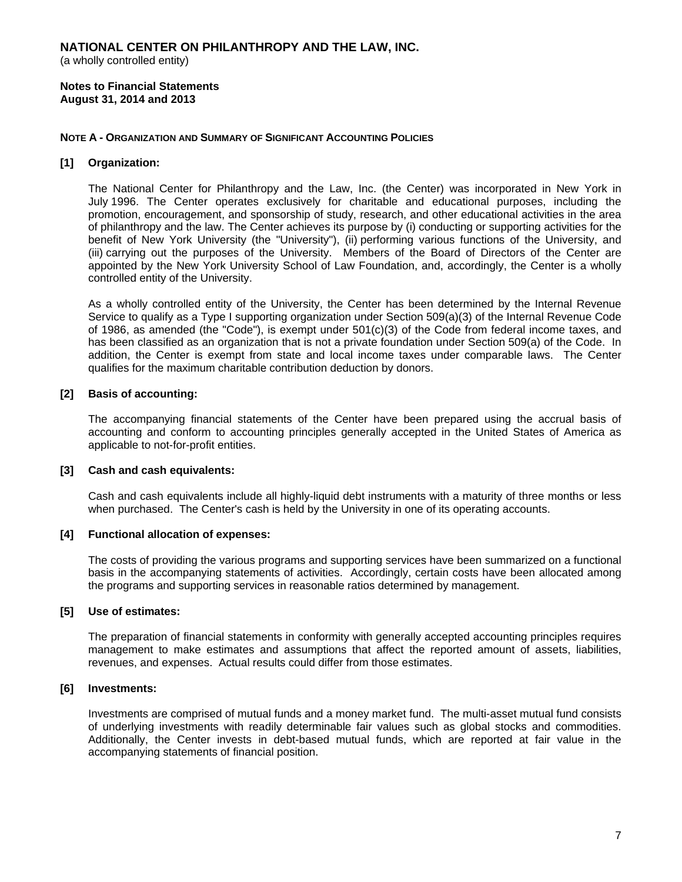(a wholly controlled entity)

**Notes to Financial Statements August 31, 2014 and 2013** 

## **NOTE A - ORGANIZATION AND SUMMARY OF SIGNIFICANT ACCOUNTING POLICIES**

## **[1] Organization:**

The National Center for Philanthropy and the Law, Inc. (the Center) was incorporated in New York in July 1996. The Center operates exclusively for charitable and educational purposes, including the promotion, encouragement, and sponsorship of study, research, and other educational activities in the area of philanthropy and the law. The Center achieves its purpose by (i) conducting or supporting activities for the benefit of New York University (the "University"), (ii) performing various functions of the University, and (iii) carrying out the purposes of the University. Members of the Board of Directors of the Center are appointed by the New York University School of Law Foundation, and, accordingly, the Center is a wholly controlled entity of the University.

As a wholly controlled entity of the University, the Center has been determined by the Internal Revenue Service to qualify as a Type I supporting organization under Section 509(a)(3) of the Internal Revenue Code of 1986, as amended (the "Code"), is exempt under 501(c)(3) of the Code from federal income taxes, and has been classified as an organization that is not a private foundation under Section 509(a) of the Code. In addition, the Center is exempt from state and local income taxes under comparable laws. The Center qualifies for the maximum charitable contribution deduction by donors.

## **[2] Basis of accounting:**

The accompanying financial statements of the Center have been prepared using the accrual basis of accounting and conform to accounting principles generally accepted in the United States of America as applicable to not-for-profit entities.

#### **[3] Cash and cash equivalents:**

Cash and cash equivalents include all highly-liquid debt instruments with a maturity of three months or less when purchased. The Center's cash is held by the University in one of its operating accounts.

#### **[4] Functional allocation of expenses:**

The costs of providing the various programs and supporting services have been summarized on a functional basis in the accompanying statements of activities. Accordingly, certain costs have been allocated among the programs and supporting services in reasonable ratios determined by management.

#### **[5] Use of estimates:**

The preparation of financial statements in conformity with generally accepted accounting principles requires management to make estimates and assumptions that affect the reported amount of assets, liabilities, revenues, and expenses. Actual results could differ from those estimates.

#### **[6] Investments:**

Investments are comprised of mutual funds and a money market fund. The multi-asset mutual fund consists of underlying investments with readily determinable fair values such as global stocks and commodities. Additionally, the Center invests in debt-based mutual funds, which are reported at fair value in the accompanying statements of financial position.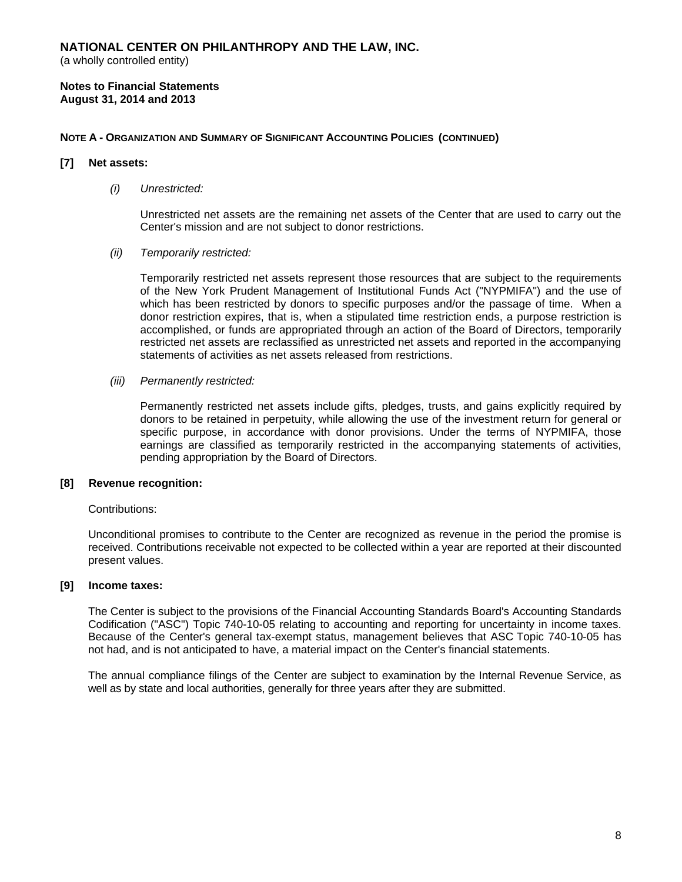(a wholly controlled entity)

#### **Notes to Financial Statements August 31, 2014 and 2013**

## **NOTE A - ORGANIZATION AND SUMMARY OF SIGNIFICANT ACCOUNTING POLICIES (CONTINUED)**

#### **[7] Net assets:**

#### *(i) Unrestricted:*

Unrestricted net assets are the remaining net assets of the Center that are used to carry out the Center's mission and are not subject to donor restrictions.

#### *(ii) Temporarily restricted:*

Temporarily restricted net assets represent those resources that are subject to the requirements of the New York Prudent Management of Institutional Funds Act ("NYPMIFA") and the use of which has been restricted by donors to specific purposes and/or the passage of time. When a donor restriction expires, that is, when a stipulated time restriction ends, a purpose restriction is accomplished, or funds are appropriated through an action of the Board of Directors, temporarily restricted net assets are reclassified as unrestricted net assets and reported in the accompanying statements of activities as net assets released from restrictions.

#### *(iii) Permanently restricted:*

Permanently restricted net assets include gifts, pledges, trusts, and gains explicitly required by donors to be retained in perpetuity, while allowing the use of the investment return for general or specific purpose, in accordance with donor provisions. Under the terms of NYPMIFA, those earnings are classified as temporarily restricted in the accompanying statements of activities, pending appropriation by the Board of Directors.

#### **[8] Revenue recognition:**

#### Contributions:

Unconditional promises to contribute to the Center are recognized as revenue in the period the promise is received. Contributions receivable not expected to be collected within a year are reported at their discounted present values.

#### **[9] Income taxes:**

The Center is subject to the provisions of the Financial Accounting Standards Board's Accounting Standards Codification ("ASC") Topic 740-10-05 relating to accounting and reporting for uncertainty in income taxes. Because of the Center's general tax-exempt status, management believes that ASC Topic 740-10-05 has not had, and is not anticipated to have, a material impact on the Center's financial statements.

The annual compliance filings of the Center are subject to examination by the Internal Revenue Service, as well as by state and local authorities, generally for three years after they are submitted.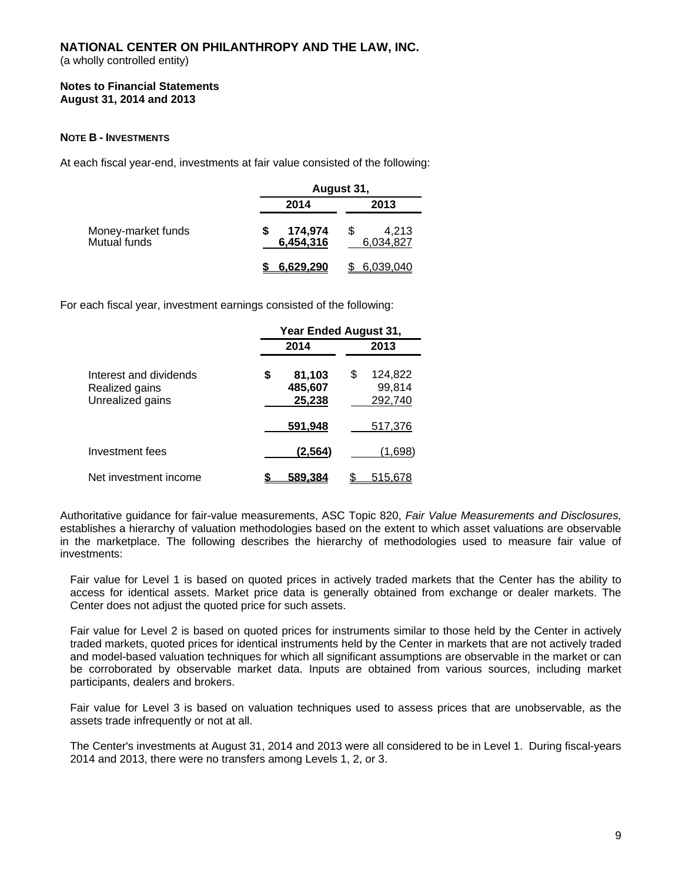(a wholly controlled entity)

## **Notes to Financial Statements August 31, 2014 and 2013**

## **NOTE B - INVESTMENTS**

At each fiscal year-end, investments at fair value consisted of the following:

|                                    | August 31,           |                    |  |  |
|------------------------------------|----------------------|--------------------|--|--|
|                                    | 2014                 | 2013               |  |  |
| Money-market funds<br>Mutual funds | 174,974<br>6,454,316 | 4,213<br>6.034.827 |  |  |
|                                    | 6.629.290            | 6.039.040          |  |  |

For each fiscal year, investment earnings consisted of the following:

|                                                              | Year Ended August 31,             |                                    |  |  |  |
|--------------------------------------------------------------|-----------------------------------|------------------------------------|--|--|--|
|                                                              | 2014                              | 2013                               |  |  |  |
| Interest and dividends<br>Realized gains<br>Unrealized gains | \$<br>81,103<br>485,607<br>25,238 | \$<br>124,822<br>99,814<br>292.740 |  |  |  |
|                                                              | 591,948                           | 517,376                            |  |  |  |
| Investment fees                                              | (2, 564)                          | (1.698)                            |  |  |  |
| Net investment income                                        | 589.384                           | 515.678                            |  |  |  |

Authoritative guidance for fair-value measurements, ASC Topic 820, *Fair Value Measurements and Disclosures,*  establishes a hierarchy of valuation methodologies based on the extent to which asset valuations are observable in the marketplace. The following describes the hierarchy of methodologies used to measure fair value of investments:

Fair value for Level 1 is based on quoted prices in actively traded markets that the Center has the ability to access for identical assets. Market price data is generally obtained from exchange or dealer markets. The Center does not adjust the quoted price for such assets.

Fair value for Level 2 is based on quoted prices for instruments similar to those held by the Center in actively traded markets, quoted prices for identical instruments held by the Center in markets that are not actively traded and model-based valuation techniques for which all significant assumptions are observable in the market or can be corroborated by observable market data. Inputs are obtained from various sources, including market participants, dealers and brokers.

Fair value for Level 3 is based on valuation techniques used to assess prices that are unobservable, as the assets trade infrequently or not at all.

The Center's investments at August 31, 2014 and 2013 were all considered to be in Level 1. During fiscal-years 2014 and 2013, there were no transfers among Levels 1, 2, or 3.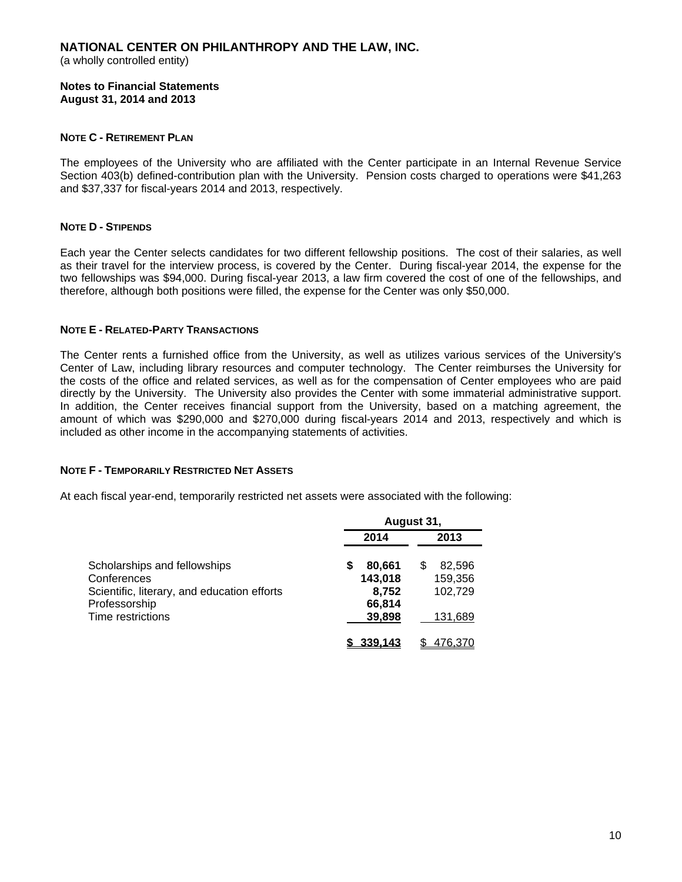(a wholly controlled entity)

**Notes to Financial Statements August 31, 2014 and 2013** 

## **NOTE C - RETIREMENT PLAN**

The employees of the University who are affiliated with the Center participate in an Internal Revenue Service Section 403(b) defined-contribution plan with the University. Pension costs charged to operations were \$41,263 and \$37,337 for fiscal-years 2014 and 2013, respectively.

## **NOTE D - STIPENDS**

Each year the Center selects candidates for two different fellowship positions. The cost of their salaries, as well as their travel for the interview process, is covered by the Center. During fiscal-year 2014, the expense for the two fellowships was \$94,000. During fiscal-year 2013, a law firm covered the cost of one of the fellowships, and therefore, although both positions were filled, the expense for the Center was only \$50,000.

## **NOTE E - RELATED-PARTY TRANSACTIONS**

The Center rents a furnished office from the University, as well as utilizes various services of the University's Center of Law, including library resources and computer technology. The Center reimburses the University for the costs of the office and related services, as well as for the compensation of Center employees who are paid directly by the University. The University also provides the Center with some immaterial administrative support. In addition, the Center receives financial support from the University, based on a matching agreement, the amount of which was \$290,000 and \$270,000 during fiscal-years 2014 and 2013, respectively and which is included as other income in the accompanying statements of activities.

#### **NOTE F - TEMPORARILY RESTRICTED NET ASSETS**

At each fiscal year-end, temporarily restricted net assets were associated with the following:

|                                             | August 31,  |         |  |  |
|---------------------------------------------|-------------|---------|--|--|
|                                             | 2014        | 2013    |  |  |
| Scholarships and fellowships                | 80,661<br>S | 82,596  |  |  |
| Conferences                                 | 143,018     | 159,356 |  |  |
| Scientific, literary, and education efforts | 8,752       | 102.729 |  |  |
| Professorship                               | 66,814      |         |  |  |
| <b>Time restrictions</b>                    | 39,898      | 131,689 |  |  |
|                                             | 339.143     | 476.370 |  |  |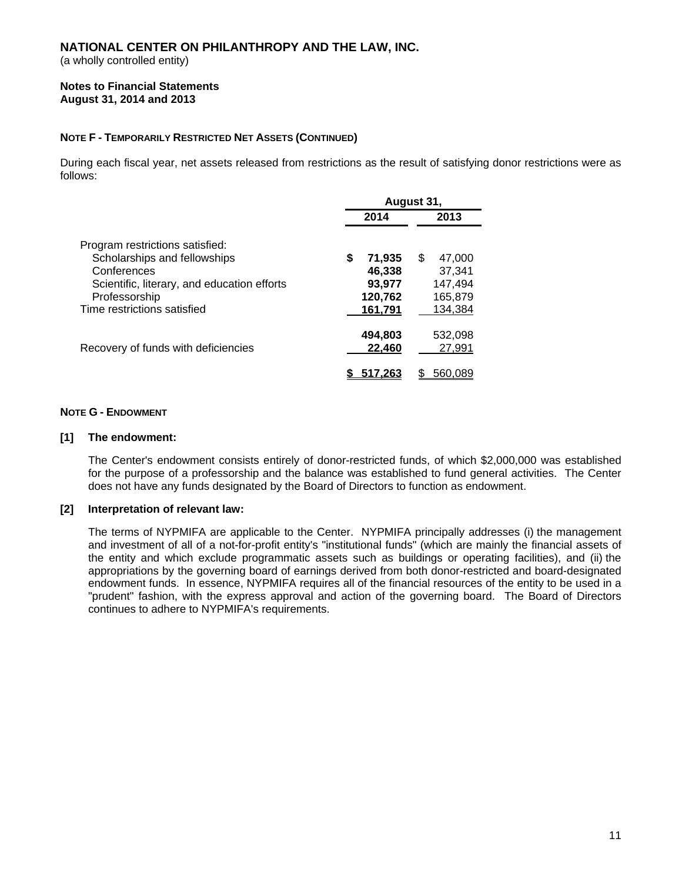(a wholly controlled entity)

#### **Notes to Financial Statements August 31, 2014 and 2013**

## **NOTE F - TEMPORARILY RESTRICTED NET ASSETS (CONTINUED)**

During each fiscal year, net assets released from restrictions as the result of satisfying donor restrictions were as follows:

|                                                                                                                                                                               | August 31,                                             |                                                          |  |  |
|-------------------------------------------------------------------------------------------------------------------------------------------------------------------------------|--------------------------------------------------------|----------------------------------------------------------|--|--|
|                                                                                                                                                                               | 2014                                                   | 2013                                                     |  |  |
| Program restrictions satisfied:<br>Scholarships and fellowships<br>Conferences<br>Scientific, literary, and education efforts<br>Professorship<br>Time restrictions satisfied | \$<br>71,935<br>46,338<br>93,977<br>120,762<br>161.791 | \$.<br>47.000<br>37,341<br>147,494<br>165,879<br>134,384 |  |  |
| Recovery of funds with deficiencies                                                                                                                                           | 494,803<br>22,460                                      | 532,098<br>27,991<br>560.089                             |  |  |

## **NOTE G - ENDOWMENT**

#### **[1] The endowment:**

The Center's endowment consists entirely of donor-restricted funds, of which \$2,000,000 was established for the purpose of a professorship and the balance was established to fund general activities. The Center does not have any funds designated by the Board of Directors to function as endowment.

## **[2] Interpretation of relevant law:**

The terms of NYPMIFA are applicable to the Center. NYPMIFA principally addresses (i) the management and investment of all of a not-for-profit entity's "institutional funds" (which are mainly the financial assets of the entity and which exclude programmatic assets such as buildings or operating facilities), and (ii) the appropriations by the governing board of earnings derived from both donor-restricted and board-designated endowment funds. In essence, NYPMIFA requires all of the financial resources of the entity to be used in a "prudent" fashion, with the express approval and action of the governing board. The Board of Directors continues to adhere to NYPMIFA's requirements.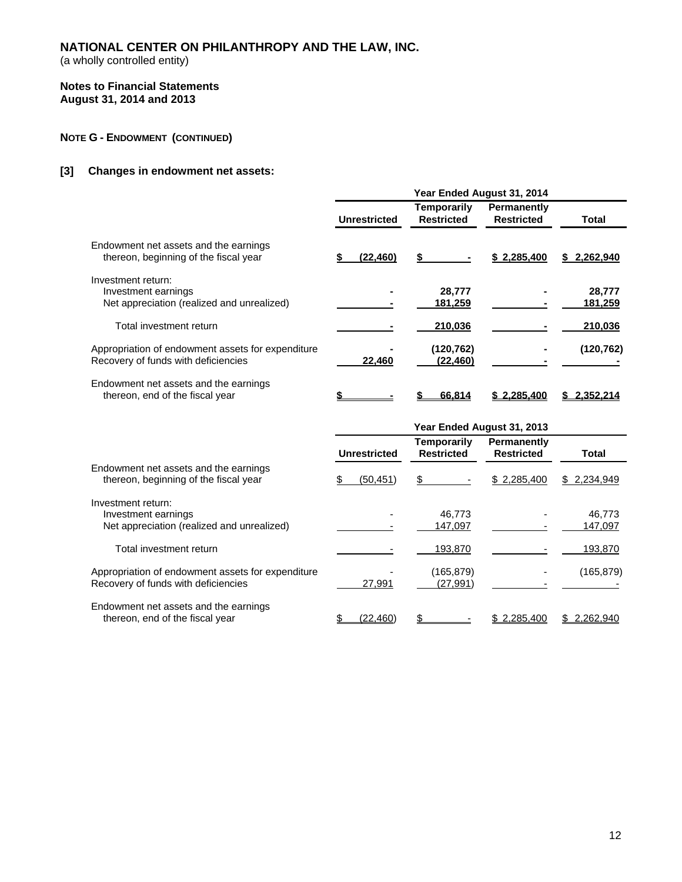(a wholly controlled entity)

#### **Notes to Financial Statements August 31, 2014 and 2013**

## **NOTE G - ENDOWMENT (CONTINUED)**

## **[3] Changes in endowment net assets:**

|                                                                                          | Year Ended August 31, 2014 |                                  |                                  |                   |  |
|------------------------------------------------------------------------------------------|----------------------------|----------------------------------|----------------------------------|-------------------|--|
|                                                                                          | <b>Unrestricted</b>        | Temporarily<br><b>Restricted</b> | Permanently<br><b>Restricted</b> | Total             |  |
| Endowment net assets and the earnings<br>thereon, beginning of the fiscal year           | (22, 460)                  | S                                | \$2,285,400                      | \$2,262,940       |  |
| Investment return:<br>Investment earnings<br>Net appreciation (realized and unrealized)  |                            | 28,777<br>181,259                |                                  | 28,777<br>181,259 |  |
| Total investment return                                                                  |                            | 210,036                          |                                  | 210,036           |  |
| Appropriation of endowment assets for expenditure<br>Recovery of funds with deficiencies | 22,460                     | (120,762)<br>(22, 460)           |                                  | (120, 762)        |  |
| Endowment net assets and the earnings<br>thereon, end of the fiscal year                 |                            | 66.814                           | 2.285.400                        | 2.352.214         |  |

|                                                                                          | Year Ended August 31, 2013 |                     |    |                                         |                                         |                   |
|------------------------------------------------------------------------------------------|----------------------------|---------------------|----|-----------------------------------------|-----------------------------------------|-------------------|
|                                                                                          |                            | <b>Unrestricted</b> |    | <b>Temporarily</b><br><b>Restricted</b> | <b>Permanently</b><br><b>Restricted</b> | Total             |
| Endowment net assets and the earnings<br>thereon, beginning of the fiscal year           |                            | (50, 451)           | \$ |                                         | \$2,285,400                             | \$2,234,949       |
| Investment return:<br>Investment earnings<br>Net appreciation (realized and unrealized)  |                            |                     |    | 46.773<br>147,097                       |                                         | 46,773<br>147,097 |
| Total investment return                                                                  |                            |                     |    | 193,870                                 |                                         | 193,870           |
| Appropriation of endowment assets for expenditure<br>Recovery of funds with deficiencies |                            | 27,991              |    | (165,879)<br>(27, 991)                  |                                         | (165,879)         |
| Endowment net assets and the earnings<br>thereon, end of the fiscal year                 |                            | (22, 460)           |    |                                         | \$2.285.400                             | \$ 2,262,940      |